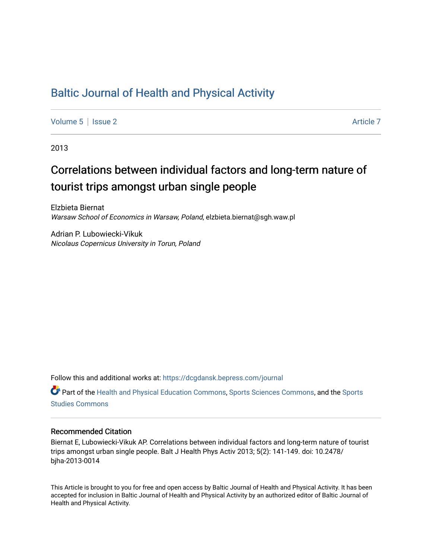## [Baltic Journal of Health and Physical Activity](https://dcgdansk.bepress.com/journal)

[Volume 5](https://dcgdansk.bepress.com/journal/vol5) | [Issue 2](https://dcgdansk.bepress.com/journal/vol5/iss2) Article 7

2013

# Correlations between individual factors and long-term nature of tourist trips amongst urban single people

Elzbieta Biernat Warsaw School of Economics in Warsaw, Poland, elzbieta.biernat@sgh.waw.pl

Adrian P. Lubowiecki-Vikuk Nicolaus Copernicus University in Torun, Poland

Follow this and additional works at: [https://dcgdansk.bepress.com/journal](https://dcgdansk.bepress.com/journal?utm_source=dcgdansk.bepress.com%2Fjournal%2Fvol5%2Fiss2%2F7&utm_medium=PDF&utm_campaign=PDFCoverPages)

Part of the [Health and Physical Education Commons](http://network.bepress.com/hgg/discipline/1327?utm_source=dcgdansk.bepress.com%2Fjournal%2Fvol5%2Fiss2%2F7&utm_medium=PDF&utm_campaign=PDFCoverPages), [Sports Sciences Commons](http://network.bepress.com/hgg/discipline/759?utm_source=dcgdansk.bepress.com%2Fjournal%2Fvol5%2Fiss2%2F7&utm_medium=PDF&utm_campaign=PDFCoverPages), and the [Sports](http://network.bepress.com/hgg/discipline/1198?utm_source=dcgdansk.bepress.com%2Fjournal%2Fvol5%2Fiss2%2F7&utm_medium=PDF&utm_campaign=PDFCoverPages)  [Studies Commons](http://network.bepress.com/hgg/discipline/1198?utm_source=dcgdansk.bepress.com%2Fjournal%2Fvol5%2Fiss2%2F7&utm_medium=PDF&utm_campaign=PDFCoverPages) 

### Recommended Citation

Biernat E, Lubowiecki-Vikuk AP. Correlations between individual factors and long-term nature of tourist trips amongst urban single people. Balt J Health Phys Activ 2013; 5(2): 141-149. doi: 10.2478/ bjha-2013-0014

This Article is brought to you for free and open access by Baltic Journal of Health and Physical Activity. It has been accepted for inclusion in Baltic Journal of Health and Physical Activity by an authorized editor of Baltic Journal of Health and Physical Activity.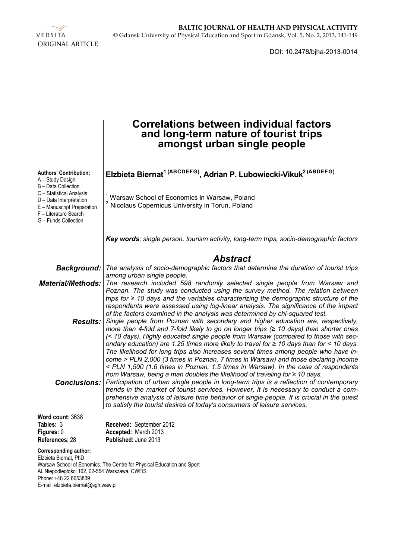

DOI: 10.2478/bjha-2013-0014

|                                                                                                                                                                                                                | <b>Correlations between individual factors</b><br>and long-term nature of tourist trips<br>amongst urban single people                                                                                                                                                                                                                                                                                                                                                                                                                                                                                                                                                                                                        |  |  |  |  |  |  |
|----------------------------------------------------------------------------------------------------------------------------------------------------------------------------------------------------------------|-------------------------------------------------------------------------------------------------------------------------------------------------------------------------------------------------------------------------------------------------------------------------------------------------------------------------------------------------------------------------------------------------------------------------------------------------------------------------------------------------------------------------------------------------------------------------------------------------------------------------------------------------------------------------------------------------------------------------------|--|--|--|--|--|--|
| <b>Authors' Contribution:</b><br>A - Study Design<br>B - Data Collection<br>C - Statistical Analysis<br>D - Data Interpretation<br>E - Manuscript Preparation<br>F - Literature Search<br>G - Funds Collection | Elzbieta Biernat <sup>1 (ABCDEFG)</sup> , Adrian P. Lubowiecki-Vikuk <sup>2 (ABDEFG)</sup><br>Warsaw School of Economics in Warsaw, Poland<br>2<br>Nicolaus Copernicus University in Torun, Poland                                                                                                                                                                                                                                                                                                                                                                                                                                                                                                                            |  |  |  |  |  |  |
|                                                                                                                                                                                                                | Key words: single person, tourism activity, long-term trips, socio-demographic factors                                                                                                                                                                                                                                                                                                                                                                                                                                                                                                                                                                                                                                        |  |  |  |  |  |  |
|                                                                                                                                                                                                                | <b>Abstract</b>                                                                                                                                                                                                                                                                                                                                                                                                                                                                                                                                                                                                                                                                                                               |  |  |  |  |  |  |
| <b>Background:</b>                                                                                                                                                                                             | The analysis of socio-demographic factors that determine the duration of tourist trips<br>among urban single people.                                                                                                                                                                                                                                                                                                                                                                                                                                                                                                                                                                                                          |  |  |  |  |  |  |
| <b>Material/Methods:</b>                                                                                                                                                                                       | The research included 598 randomly selected single people from Warsaw and                                                                                                                                                                                                                                                                                                                                                                                                                                                                                                                                                                                                                                                     |  |  |  |  |  |  |
| <b>Results:</b>                                                                                                                                                                                                | Poznan. The study was conducted using the survey method. The relation between<br>trips for $\geq 10$ days and the variables characterizing the demographic structure of the<br>respondents were assessed using log-linear analysis. The significance of the impact<br>of the factors examined in the analysis was determined by chi-squared test.<br>Single people from Poznan with secondary and higher education are, respectively,<br>more than 4-fold and 7-fold likely to go on longer trips ( $\geq$ 10 days) than shorter ones<br>(< 10 days). Highly educated single people from Warsaw (compared to those with sec-<br>ondary education) are 1.25 times more likely to travel for $\geq$ 10 days than for < 10 days. |  |  |  |  |  |  |
| <b>Conclusions:</b>                                                                                                                                                                                            | The likelihood for long trips also increases several times among people who have in-<br>come > PLN 2,000 (3 times in Poznan, 7 times in Warsaw) and those declaring income<br>< PLN 1,500 (1.6 times in Poznan, 1.5 times in Warsaw). In the case of respondents<br>from Warsaw, being a man doubles the likelihood of traveling for $\geq 10$ days.<br>Participation of urban single people in long-term trips is a reflection of contemporary<br>trends in the market of tourist services. However, it is necessary to conduct a com-<br>prehensive analysis of leisure time behavior of single people. It is crucial in the quest<br>to satisfy the tourist desires of today's consumers of leisure services.              |  |  |  |  |  |  |
| Word count: 3638                                                                                                                                                                                               |                                                                                                                                                                                                                                                                                                                                                                                                                                                                                                                                                                                                                                                                                                                               |  |  |  |  |  |  |
| Tables: 3<br>Figures: 0<br>References: 28                                                                                                                                                                      | Received: September 2012<br>Accepted: March 2013<br>Published: June 2013                                                                                                                                                                                                                                                                                                                                                                                                                                                                                                                                                                                                                                                      |  |  |  |  |  |  |
| <b>Corresponding author:</b><br>Elżbieta Biernat, PhD<br>Al. Niepodległości 162, 02-554 Warszawa, CWFiS<br>Phone: +48 22 6653839                                                                               | Warsaw School of Eonomics, The Centre for Physical Education and Sport                                                                                                                                                                                                                                                                                                                                                                                                                                                                                                                                                                                                                                                        |  |  |  |  |  |  |

E-mail: elzbieta.biernat@sgh.waw.pl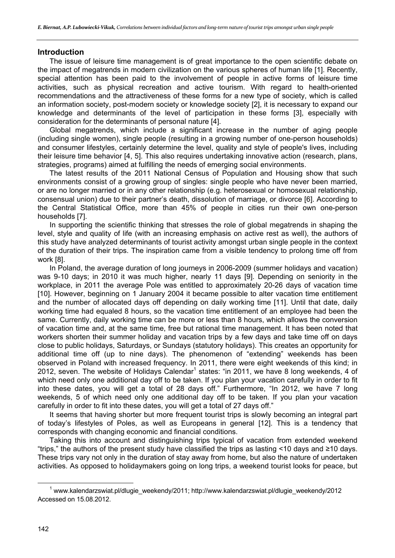## **Introduction**

The issue of leisure time management is of great importance to the open scientific debate on the impact of megatrends in modern civilization on the various spheres of human life [1]. Recently, special attention has been paid to the involvement of people in active forms of leisure time activities, such as physical recreation and active tourism. With regard to health-oriented recommendations and the attractiveness of these forms for a new type of society, which is called an information society, post-modern society or knowledge society [2], it is necessary to expand our knowledge and determinants of the level of participation in these forms [3], especially with consideration for the determinants of personal nature [4].

Global megatrends, which include a significant increase in the number of aging people (including single women), single people (resulting in a growing number of one-person households) and consumer lifestyles, certainly determine the level, quality and style of people's lives, including their leisure time behavior [4, 5]. This also requires undertaking innovative action (research, plans, strategies, programs) aimed at fulfilling the needs of emerging social environments.

The latest results of the 2011 National Census of Population and Housing show that such environments consist of a growing group of singles: single people who have never been married, or are no longer married or in any other relationship (e.g. heterosexual or homosexual relationship, consensual union) due to their partner's death, dissolution of marriage, or divorce [6]. According to the Central Statistical Office, more than 45% of people in cities run their own one-person households [7].

In supporting the scientific thinking that stresses the role of global megatrends in shaping the level, style and quality of life (with an increasing emphasis on active rest as well), the authors of this study have analyzed determinants of tourist activity amongst urban single people in the context of the duration of their trips. The inspiration came from a visible tendency to prolong time off from work [8].

In Poland, the average duration of long journeys in 2006-2009 (summer holidays and vacation) was 9-10 days; in 2010 it was much higher, nearly 11 days [9]. Depending on seniority in the workplace, in 2011 the average Pole was entitled to approximately 20-26 days of vacation time [10]. However, beginning on 1 January 2004 it became possible to alter vacation time entitlement and the number of allocated days off depending on daily working time [11]. Until that date, daily working time had equaled 8 hours, so the vacation time entitlement of an employee had been the same. Currently, daily working time can be more or less than 8 hours, which allows the conversion of vacation time and, at the same time, free but rational time management. It has been noted that workers shorten their summer holiday and vacation trips by a few days and take time off on days close to public holidays, Saturdays, or Sundays (statutory holidays). This creates an opportunity for additional time off (up to nine days). The phenomenon of "extending" weekends has been observed in Poland with increased frequency. In 2011, there were eight weekends of this kind; in 2012, seven. The website of Holidays Calendar<sup>1</sup> states: "in 2011, we have 8 long weekends, 4 of which need only one additional day off to be taken. If you plan your vacation carefully in order to fit into these dates, you will get a total of 28 days off." Furthermore, "In 2012, we have 7 long weekends, 5 of which need only one additional day off to be taken. If you plan your vacation carefully in order to fit into these dates, you will get a total of 27 days off."

It seems that having shorter but more frequent tourist trips is slowly becoming an integral part of today's lifestyles of Poles, as well as Europeans in general [12]. This is a tendency that corresponds with changing economic and financial conditions.

Taking this into account and distinguishing trips typical of vacation from extended weekend "trips," the authors of the present study have classified the trips as lasting <10 days and ≥10 days. These trips vary not only in the duration of stay away from home, but also the nature of undertaken activities. As opposed to holidaymakers going on long trips, a weekend tourist looks for peace, but

 $\overline{\phantom{0}}$  1  $1$  www.kalendarzswiat.pl/dlugie\_weekendy/2011; http://www.kalendarzswiat.pl/dlugie\_weekendy/2012 Accessed on 15.08.2012.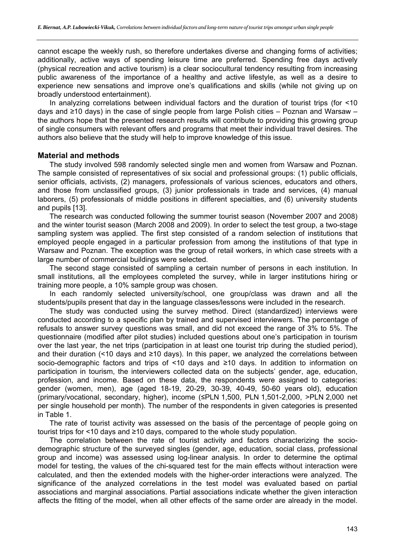cannot escape the weekly rush, so therefore undertakes diverse and changing forms of activities; additionally, active ways of spending leisure time are preferred. Spending free days actively (physical recreation and active tourism) is a clear sociocultural tendency resulting from increasing public awareness of the importance of a healthy and active lifestyle, as well as a desire to experience new sensations and improve one's qualifications and skills (while not giving up on broadly understood entertainment).

In analyzing correlations between individual factors and the duration of tourist trips (for <10 days and ≥10 days) in the case of single people from large Polish cities – Poznan and Warsaw – the authors hope that the presented research results will contribute to providing this growing group of single consumers with relevant offers and programs that meet their individual travel desires. The authors also believe that the study will help to improve knowledge of this issue.

## **Material and methods**

The study involved 598 randomly selected single men and women from Warsaw and Poznan. The sample consisted of representatives of six social and professional groups: (1) public officials, senior officials, activists, (2) managers, professionals of various sciences, educators and others, and those from unclassified groups, (3) junior professionals in trade and services, (4) manual laborers, (5) professionals of middle positions in different specialties, and (6) university students and pupils [13].

The research was conducted following the summer tourist season (November 2007 and 2008) and the winter tourist season (March 2008 and 2009). In order to select the test group, a two-stage sampling system was applied. The first step consisted of a random selection of institutions that employed people engaged in a particular profession from among the institutions of that type in Warsaw and Poznan. The exception was the group of retail workers, in which case streets with a large number of commercial buildings were selected.

The second stage consisted of sampling a certain number of persons in each institution. In small institutions, all the employees completed the survey, while in larger institutions hiring or training more people, a 10% sample group was chosen.

In each randomly selected university/school, one group/class was drawn and all the students/pupils present that day in the language classes/lessons were included in the research.

The study was conducted using the survey method. Direct (standardized) interviews were conducted according to a specific plan by trained and supervised interviewers. The percentage of refusals to answer survey questions was small, and did not exceed the range of 3% to 5%. The questionnaire (modified after pilot studies) included questions about one's participation in tourism over the last year, the net trips (participation in at least one tourist trip during the studied period), and their duration (<10 days and ≥10 days). In this paper, we analyzed the correlations between socio-demographic factors and trips of <10 days and ≥10 days. In addition to information on participation in tourism, the interviewers collected data on the subjects' gender, age, education, profession, and income. Based on these data, the respondents were assigned to categories: gender (women, men), age (aged 18-19, 20-29, 30-39, 40-49, 50-60 years old), education (primary/vocational, secondary, higher), income (≤PLN 1,500, PLN 1,501-2,000, >PLN 2,000 net per single household per month). The number of the respondents in given categories is presented in Table 1.

The rate of tourist activity was assessed on the basis of the percentage of people going on tourist trips for <10 days and ≥10 days, compared to the whole study population.

The correlation between the rate of tourist activity and factors characterizing the sociodemographic structure of the surveyed singles (gender, age, education, social class, professional group and income) was assessed using log-linear analysis. In order to determine the optimal model for testing, the values of the chi-squared test for the main effects without interaction were calculated, and then the extended models with the higher-order interactions were analyzed. The significance of the analyzed correlations in the test model was evaluated based on partial associations and marginal associations. Partial associations indicate whether the given interaction affects the fitting of the model, when all other effects of the same order are already in the model.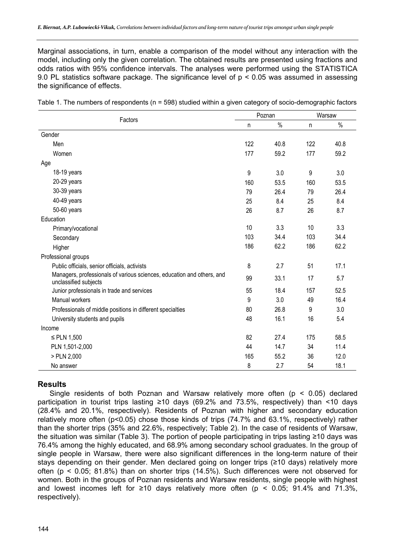Marginal associations, in turn, enable a comparison of the model without any interaction with the model, including only the given correlation. The obtained results are presented using fractions and odds ratios with 95% confidence intervals. The analyses were performed using the STATISTICA 9.0 PL statistics software package. The significance level of  $p < 0.05$  was assumed in assessing the significance of effects.

| Factors                                                                                         |     | Poznan | Warsaw |      |
|-------------------------------------------------------------------------------------------------|-----|--------|--------|------|
|                                                                                                 | n   | $\%$   | n      | $\%$ |
| Gender                                                                                          |     |        |        |      |
| Men                                                                                             | 122 | 40.8   | 122    | 40.8 |
| Women                                                                                           | 177 | 59.2   | 177    | 59.2 |
| Age                                                                                             |     |        |        |      |
| 18-19 years                                                                                     | 9   | 3.0    | 9      | 3.0  |
| 20-29 years                                                                                     | 160 | 53.5   | 160    | 53.5 |
| 30-39 years                                                                                     | 79  | 26.4   | 79     | 26.4 |
| 40-49 years                                                                                     | 25  | 8.4    | 25     | 8.4  |
| 50-60 years                                                                                     | 26  | 8.7    | 26     | 8.7  |
| Education                                                                                       |     |        |        |      |
| Primary/vocational                                                                              | 10  | 3.3    | 10     | 3.3  |
| Secondary                                                                                       | 103 | 34.4   | 103    | 34.4 |
| Higher                                                                                          | 186 | 62.2   | 186    | 62.2 |
| Professional groups                                                                             |     |        |        |      |
| Public officials, senior officials, activists                                                   | 8   | 2.7    | 51     | 17.1 |
| Managers, professionals of various sciences, education and others, and<br>unclassified subjects | 99  | 33.1   | 17     | 5.7  |
| Junior professionals in trade and services                                                      | 55  | 18.4   | 157    | 52.5 |
| Manual workers                                                                                  | 9   | 3.0    | 49     | 16.4 |
| Professionals of middle positions in different specialties                                      | 80  | 26.8   | 9      | 3.0  |
| University students and pupils                                                                  | 48  | 16.1   | 16     | 5.4  |
| Income                                                                                          |     |        |        |      |
| $\leq$ PLN 1,500                                                                                | 82  | 27.4   | 175    | 58.5 |
| PLN 1,501-2,000                                                                                 | 44  | 14.7   | 34     | 11.4 |
| > PLN 2,000                                                                                     | 165 | 55.2   | 36     | 12.0 |
| No answer                                                                                       | 8   | 2.7    | 54     | 18.1 |

Table 1. The numbers of respondents (n = 598) studied within a given category of socio-demographic factors

## **Results**

Single residents of both Poznan and Warsaw relatively more often ( $p < 0.05$ ) declared participation in tourist trips lasting ≥10 days (69.2% and 73.5%, respectively) than <10 days (28.4% and 20.1%, respectively). Residents of Poznan with higher and secondary education relatively more often (p<0.05) chose those kinds of trips (74.7% and 63.1%, respectively) rather than the shorter trips (35% and 22.6%, respectively; Table 2). In the case of residents of Warsaw, the situation was similar (Table 3). The portion of people participating in trips lasting ≥10 days was 76.4% among the highly educated, and 68.9% among secondary school graduates. In the group of single people in Warsaw, there were also significant differences in the long-term nature of their stays depending on their gender. Men declared going on longer trips (≥10 days) relatively more often ( $p \le 0.05$ ; 81.8%) than on shorter trips (14.5%). Such differences were not observed for women. Both in the groups of Poznan residents and Warsaw residents, single people with highest and lowest incomes left for  $\geq 10$  days relatively more often (p < 0.05; 91.4% and 71.3%, respectively).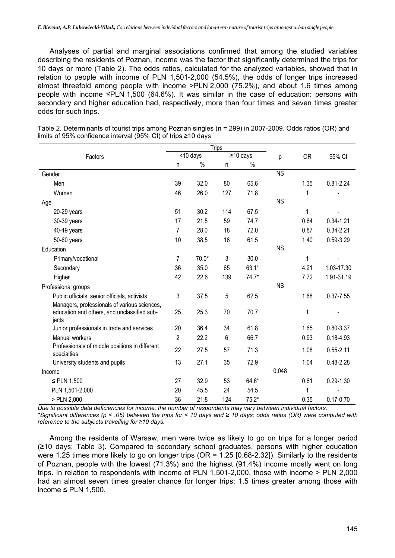Analyses of partial and marginal associations confirmed that among the studied variables describing the residents of Poznan, income was the factor that significantly determined the trips for 10 days or more (Table 2). The odds ratios, calculated for the analyzed variables, showed that in relation to people with income of PLN 1,501-2,000 (54.5%), the odds of longer trips increased almost threefold among people with income >PLN 2,000 (75.2%), and about 1.6 times among people with income ≤PLN 1,500 (64.6%). It was similar in the case of education: persons with secondary and higher education had, respectively, more than four times and seven times greater odds for such trips.

|                                                      | <b>Trips</b>   |          |     |                           |           | <b>OR</b> | 95% CI        |
|------------------------------------------------------|----------------|----------|-----|---------------------------|-----------|-----------|---------------|
| Factors                                              |                | <10 days |     | $\overline{\geq 10}$ days |           |           |               |
|                                                      | n              | $\%$     | n   | $\%$                      | р         |           |               |
| Gender                                               |                |          |     |                           | <b>NS</b> |           |               |
| Men                                                  | 39             | 32.0     | 80  | 65.6                      |           | 1.35      | $0.81 - 2.24$ |
| Women                                                | 46             | 26.0     | 127 | 71.8                      |           | 1         |               |
| Age                                                  |                |          |     |                           | <b>NS</b> |           |               |
| 20-29 years                                          | 51             | 30.2     | 114 | 67.5                      |           | 1         |               |
| 30-39 years                                          | 17             | 21.5     | 59  | 74.7                      |           | 0.64      | $0.34 - 1.21$ |
| 40-49 years                                          | 7              | 28.0     | 18  | 72.0                      |           | 0.87      | $0.34 - 2.21$ |
| 50-60 years                                          | 10             | 38.5     | 16  | 61.5                      |           | 1.40      | 0.59-3.29     |
| Education                                            |                |          |     |                           | <b>NS</b> |           |               |
| Primary/vocational                                   | $\overline{7}$ | $70.0*$  | 3   | 30.0                      |           |           |               |
| Secondary                                            | 36             | 35.0     | 65  | $63.1*$                   |           | 4.21      | 1.03-17.30    |
| Higher                                               | 42             | 22.6     | 139 | $74.7*$                   |           | 7.72      | 1.91-31.19    |
| Professional groups                                  |                |          |     |                           | <b>NS</b> |           |               |
| Public officials, senior officials, activists        | 3              | 37.5     | 5   | 62.5                      |           | 1.68      | $0.37 - 7.55$ |
| Managers, professionals of various sciences,         |                |          |     |                           |           |           |               |
| education and others, and unclassified sub-<br>jects | 25             | 25.3     | 70  | 70.7                      |           | 1         |               |
| Junior professionals in trade and services           | 20             | 36.4     | 34  | 61.8                      |           | 1.65      | $0.80 - 3.37$ |
| Manual workers                                       | $\overline{2}$ | 22.2     | 6   | 66.7                      |           | 0.93      | $0.18 - 4.93$ |
| Professionals of middle positions in different       | 22             | 27.5     | 57  | 71.3                      |           | 1.08      | $0.55 - 2.11$ |
| specialties                                          |                |          |     |                           |           |           |               |
| University students and pupils                       | 13             | 27.1     | 35  | 72.9                      |           | 1.04      | $0.48 - 2.28$ |
| Income                                               |                |          |     |                           | 0.048     |           |               |
| $\leq$ PLN 1,500                                     | 27             | 32.9     | 53  | 64.6*                     |           | 0.61      | $0.29 - 1.30$ |
| PLN 1,501-2,000                                      | 20             | 45.5     | 24  | 54.5                      |           |           |               |
| > PLN 2,000                                          | 36             | 21.8     | 124 | $75.2*$                   |           | 0.35      | $0.17 - 0.70$ |

Table 2. Determinants of tourist trips among Poznan singles (n = 299) in 2007-2009. Odds ratios (OR) and limits of 95% confidence interval (95% CI) of trips ≥10 days

*Due to possible data deficiencies for income, the number of respondents may vary between individual factors. \*Significant differences (p < .05) between the trips for < 10 days and ≥ 10 days; odds ratios (OR) were computed with reference to the subjects travelling for ≥10 days.* 

Among the residents of Warsaw, men were twice as likely to go on trips for a longer period (≥10 days; Table 3). Compared to secondary school graduates, persons with higher education were 1.25 times more likely to go on longer trips (OR = 1.25 [0.68-2.32]). Similarly to the residents of Poznan, people with the lowest (71.3%) and the highest (91.4%) income mostly went on long trips. In relation to respondents with income of PLN 1,501-2,000, those with income > PLN 2,000 had an almost seven times greater chance for longer trips; 1.5 times greater among those with income ≤ PLN 1,500.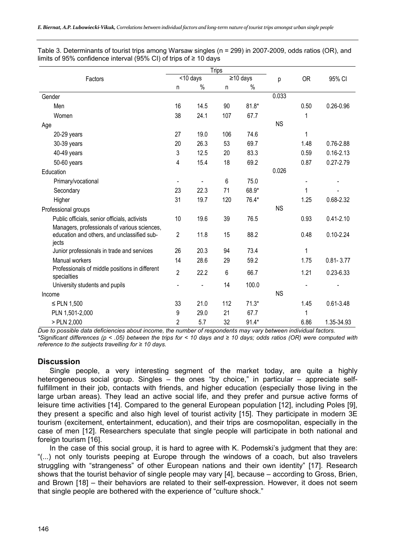Table 3. Determinants of tourist trips among Warsaw singles (n = 299) in 2007-2009, odds ratios (OR), and limits of 95% confidence interval (95% CI) of trips of ≥ 10 days

|                                                               | <b>Trips</b>   |                  |     |                |           | <b>OR</b> | 95% CI        |
|---------------------------------------------------------------|----------------|------------------|-----|----------------|-----------|-----------|---------------|
| Factors                                                       |                | $\sqrt{10}$ days |     | $\geq 10$ days |           |           |               |
|                                                               | n              | $\%$             | n   | $\%$           |           |           |               |
| Gender                                                        |                |                  |     |                | 0.033     |           |               |
| Men                                                           | 16             | 14.5             | 90  | $81.8*$        |           | 0.50      | $0.26 - 0.96$ |
| Women                                                         | 38             | 24.1             | 107 | 67.7           |           | 1         |               |
| Age                                                           |                |                  |     |                | <b>NS</b> |           |               |
| $20-29$ years                                                 | 27             | 19.0             | 106 | 74.6           |           | 1         |               |
| 30-39 years                                                   | 20             | 26.3             | 53  | 69.7           |           | 1.48      | 0.76-2.88     |
| 40-49 years                                                   | 3              | 12.5             | 20  | 83.3           |           | 0.59      | $0.16 - 2.13$ |
| 50-60 years                                                   | 4              | 15.4             | 18  | 69.2           |           | 0.87      | $0.27 - 2.79$ |
| Education                                                     |                |                  |     |                | 0.026     |           |               |
| Primary/vocational                                            |                |                  | 6   | 75.0           |           |           |               |
| Secondary                                                     | 23             | 22.3             | 71  | 68.9*          |           | 1         |               |
| Higher                                                        | 31             | 19.7             | 120 | 76.4*          |           | 1.25      | 0.68-2.32     |
| Professional groups                                           |                |                  |     |                | <b>NS</b> |           |               |
| Public officials, senior officials, activists                 | 10             | 19.6             | 39  | 76.5           |           | 0.93      | $0.41 - 2.10$ |
| Managers, professionals of various sciences,                  |                |                  |     |                |           |           |               |
| education and others, and unclassified sub-<br>jects          | $\overline{2}$ | 11.8             | 15  | 88.2           |           | 0.48      | $0.10 - 2.24$ |
| Junior professionals in trade and services                    | 26             | 20.3             | 94  | 73.4           |           | 1         |               |
| Manual workers                                                | 14             | 28.6             | 29  | 59.2           |           | 1.75      | $0.81 - 3.77$ |
| Professionals of middle positions in different<br>specialties | $\overline{2}$ | 22.2             | 6   | 66.7           |           | 1.21      | $0.23 - 6.33$ |
| University students and pupils                                |                |                  | 14  | 100.0          |           |           |               |
| Income                                                        |                |                  |     |                | <b>NS</b> |           |               |
| $\leq$ PLN 1,500                                              |                | 21.0             | 112 | $71.3*$        |           | 1.45      | 0.61-3.48     |
| PLN 1,501-2,000                                               |                | 29.0             | 21  | 67.7           |           | 1         |               |
| > PLN 2,000                                                   | $\overline{2}$ | 5.7              | 32  | $91.4*$        |           | 6.86      | 1.35-34.93    |

*Due to possible data deficiencies about income, the number of respondents may vary between individual factors. \*Significant differences (p < .05) between the trips for < 10 days and ≥ 10 days; odds ratios (OR) were computed with reference to the subjects travelling for ≥ 10 days.* 

## **Discussion**

Single people, a very interesting segment of the market today, are quite a highly heterogeneous social group. Singles – the ones "by choice," in particular – appreciate selffulfillment in their job, contacts with friends, and higher education (especially those living in the large urban areas). They lead an active social life, and they prefer and pursue active forms of leisure time activities [14]. Compared to the general European population [12], including Poles [9], they present a specific and also high level of tourist activity [15]. They participate in modern 3E tourism (excitement, entertainment, education), and their trips are cosmopolitan, especially in the case of men [12]. Researchers speculate that single people will participate in both national and foreign tourism [16].

In the case of this social group, it is hard to agree with K. Podemski's judgment that they are: "(...) not only tourists peeping at Europe through the windows of a coach, but also travelers struggling with "strangeness" of other European nations and their own identity" [17]. Research shows that the tourist behavior of single people may vary [4], because – according to Gross, Brien, and Brown [18] – their behaviors are related to their self-expression. However, it does not seem that single people are bothered with the experience of "culture shock."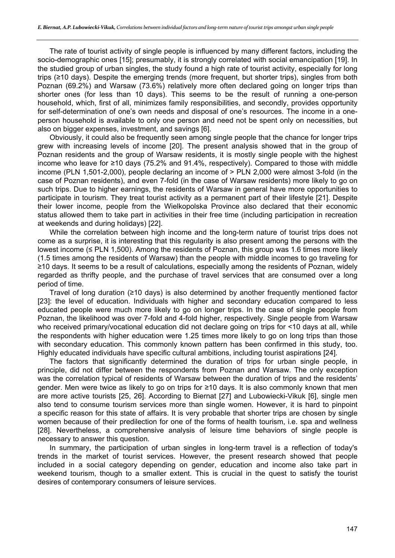The rate of tourist activity of single people is influenced by many different factors, including the socio-demographic ones [15]; presumably, it is strongly correlated with social emancipation [19]. In the studied group of urban singles, the study found a high rate of tourist activity, especially for long trips (≥10 days). Despite the emerging trends (more frequent, but shorter trips), singles from both Poznan (69.2%) and Warsaw (73.6%) relatively more often declared going on longer trips than shorter ones (for less than 10 days). This seems to be the result of running a one-person household, which, first of all, minimizes family responsibilities, and secondly, provides opportunity for self-determination of one's own needs and disposal of one's resources. The income in a oneperson household is available to only one person and need not be spent only on necessities, but also on bigger expenses, investment, and savings [6].

Obviously, it could also be frequently seen among single people that the chance for longer trips grew with increasing levels of income [20]. The present analysis showed that in the group of Poznan residents and the group of Warsaw residents, it is mostly single people with the highest income who leave for ≥10 days (75.2% and 91.4%, respectively). Compared to those with middle income (PLN 1,501-2,000), people declaring an income of > PLN 2,000 were almost 3-fold (in the case of Poznan residents), and even 7-fold (in the case of Warsaw residents) more likely to go on such trips. Due to higher earnings, the residents of Warsaw in general have more opportunities to participate in tourism. They treat tourist activity as a permanent part of their lifestyle [21]. Despite their lower income, people from the Wielkopolska Province also declared that their economic status allowed them to take part in activities in their free time (including participation in recreation at weekends and during holidays) [22].

While the correlation between high income and the long-term nature of tourist trips does not come as a surprise, it is interesting that this regularity is also present among the persons with the lowest income (≤ PLN 1,500). Among the residents of Poznan, this group was 1.6 times more likely (1.5 times among the residents of Warsaw) than the people with middle incomes to go traveling for ≥10 days. It seems to be a result of calculations, especially among the residents of Poznan, widely regarded as thrifty people, and the purchase of travel services that are consumed over a long period of time.

Travel of long duration (≥10 days) is also determined by another frequently mentioned factor [23]: the level of education. Individuals with higher and secondary education compared to less educated people were much more likely to go on longer trips. In the case of single people from Poznan, the likelihood was over 7-fold and 4-fold higher, respectively. Single people from Warsaw who received primary/vocational education did not declare going on trips for <10 days at all, while the respondents with higher education were 1.25 times more likely to go on long trips than those with secondary education. This commonly known pattern has been confirmed in this study, too. Highly educated individuals have specific cultural ambitions, including tourist aspirations [24].

The factors that significantly determined the duration of trips for urban single people, in principle, did not differ between the respondents from Poznan and Warsaw. The only exception was the correlation typical of residents of Warsaw between the duration of trips and the residents' gender. Men were twice as likely to go on trips for ≥10 days. It is also commonly known that men are more active tourists [25, 26]. According to Biernat [27] and Lubowiecki-Vikuk [6], single men also tend to consume tourism services more than single women. However, it is hard to pinpoint a specific reason for this state of affairs. It is very probable that shorter trips are chosen by single women because of their predilection for one of the forms of health tourism, i.e. spa and wellness [28]. Nevertheless, a comprehensive analysis of leisure time behaviors of single people is necessary to answer this question.

In summary, the participation of urban singles in long-term travel is a reflection of today's trends in the market of tourist services. However, the present research showed that people included in a social category depending on gender, education and income also take part in weekend tourism, though to a smaller extent. This is crucial in the quest to satisfy the tourist desires of contemporary consumers of leisure services.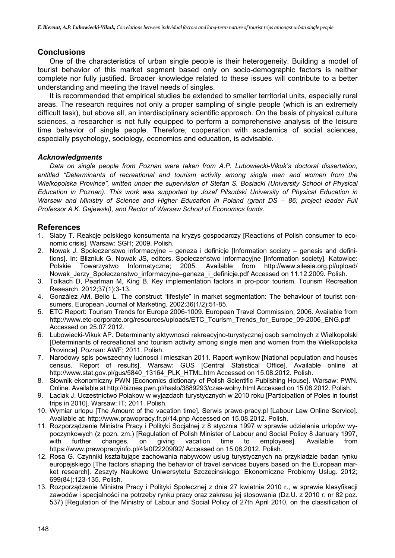#### **Conclusions**

One of the characteristics of urban single people is their heterogeneity. Building a model of tourist behavior of this market segment based only on socio-demographic factors is neither complete nor fully justified. Broader knowledge related to these issues will contribute to a better understanding and meeting the travel needs of singles.

It is recommended that empirical studies be extended to smaller territorial units, especially rural areas. The research requires not only a proper sampling of single people (which is an extremely difficult task), but above all, an interdisciplinary scientific approach. On the basis of physical culture sciences, a researcher is not fully equipped to perform a comprehensive analysis of the leisure time behavior of single people. Therefore, cooperation with academics of social sciences, especially psychology, sociology, economics and education, is advisable.

#### *Acknowledgments*

*Data on single people from Poznan were taken from A.P. Lubowiecki-Vikuk's doctoral dissertation, entitled "Determinants of recreational and tourism activity among single men and women from the Wielkopolska Province", written under the supervision of Stefan S. Bosiacki (University School of Physical Education in Poznan). This work was supported by Jozef Pilsudski University of Physical Education in Warsaw and Ministry of Science and Higher Education in Poland (grant DS – 86; project leader Full Professor A.K. Gajewski), and Rector of Warsaw School of Economics funds.* 

## **References**

- 1. Slaby T. Reakcje polskiego konsumenta na kryzys gospodarczy [Reactions of Polish consumer to economic crisis]. Warsaw: SGH; 2009. Polish.
- 2. Nowak J. Społeczenstwo informacyjne geneza i definicje [Information society genesis and definitions]. In: Blizniuk G, Nowak JS, editors. Społeczeństwo informacyjne [Information society]. Katowice: Polskie Towarzystwo Informatyczne; 2005. Available from http://www.silesia.org.pl/upload/ Nowak Jerzy Spoleczenstwo informacyjne–geneza i definicje.pdf Accessed on 11.12.2009. Polish.
- 3. Tolkach D, Pearlman M, King B. Key implementation factors in pro-poor tourism. Tourism Recreation Research. 2012;37(1):3-13.
- 4. González AM, Bello L. The construct "lifestyle" in market segmentation: The behaviour of tourist consumers. European Journal of Marketing. 2002;36(1/2):51-85.
- 5. ETC Report: Tourism Trends for Europe 2006-1009. European Travel Commission; 2006. Available from http://www.etc-corporate.org/resources/uploads/ETC\_Tourism\_Trends\_for\_Europe\_09-2006\_ENG.pdf Accessed on 25.07.2012.
- 6. Lubowiecki-Vikuk AP. Determinanty aktywnosci rekreacyjno-turystycznej osob samotnych z Wielkopolski [Determinants of recreational and tourism activity among single men and women from the Wielkopolska Province]. Poznan: AWF; 2011. Polish.
- 7. Narodowy spis powszechny ludnosci i mieszkan 2011. Raport wynikow [National population and houses census. Report of results]. Warsaw: GUS [Central Statistical Office]. Available online at http://www.stat.gov.pl/gus/5840\_13164\_PLK\_HTML.htm Accessed on 15.08.2012. Polish.
- 8. Slownik ekonomiczny PWN [Economics dictionary of Polish Scientific Publishing House]. Warsaw: PWN. Online. Available at http://biznes.pwn.pl/haslo/3889293/czas-wolny.html Accessed on 15.08.2012. Polish.
- 9. Laciak J. Uczestnictwo Polakow w wyjazdach turystycznych w 2010 roku [Participation of Poles in tourist trips in 2010]. Warsaw: IT; 2011. Polish.
- 10. Wymiar urlopu [The Amount of the vacation time]. Serwis prawo-pracy.pl [Labour Law Online Service]. Available at: http://www.prawopracy.fr.pl/14.php Accessed on 15.08.2012. Polish.
- 11. Rozporządzenie Ministra Pracy i Polityki Socjalnej z 8 stycznia 1997 w sprawie udzielania urlopów wypoczynkowych (z pozn. zm.) [Regulation of Polish Minister of Labour and Social Policy 8 January 1997, with further changes, on giving vacation time to employees]. Available from https://www.prawopracyinfo.pl/4fa0f22209f92/ Accessed on 15.08.2012. Polish.
- 12. Rosa G. Czynniki ksztaltujące zachowania nabywcow uslug turystycznych na przykladzie badan rynku europejskiego [The factors shaping the behavior of travel services buyers based on the European market research]. Zeszyty Naukowe Uniwersytetu Szczecinskiego: Ekonomiczne Problemy Usług. 2012; 699(84):123-135. Polish.
- 13. Rozporządzenie Ministra Pracy i Polityki Społecznej z dnia 27 kwietnia 2010 r., w sprawie klasyfikacji zawodów i specjalności na potrzeby rynku pracy oraz zakresu jej stosowania (Dz.U. z 2010 r. nr 82 poz. 537) [Regulation of the Ministry of Labour and Social Policy of 27th April 2010, on the classification of